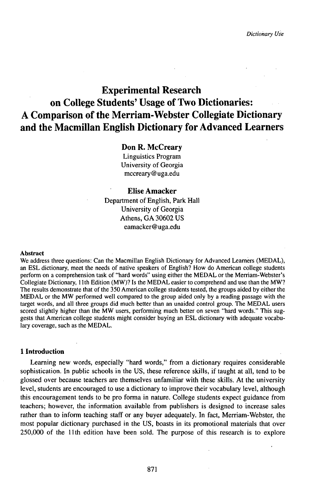# Experimental Research on College Students' Usage of Two Dictionaries: A Comparison of the Merriam-Webster Collegiate Dictionary and the Macmillan English Dictionary for Advanced Learners

# Don R. McCreary

Linguistics Program University of Georgia mccreary @ uga.edu

# Elise Amacker

Department of English, Park Hall University of Georgia Athens, GA 30602 US eamacker@uga.edu

#### Abstract

We address three questions: Can the Macmillan English Dictionary for Advanced Learners (MEDAL), an ESL dictionary, meet the needs of native speakers of English? How do American college students perform on a comprehension task of "hard words" using either the MEDAL or the Merriam-Webster's Collegiate Dictionary, llth Edition (MW)? Is the MEDAL easier to comprehend and use than the MW? The results demonstrate that of the 350 American college students tested, the groups aided by either the MEDAL or the MW performed well compared to the group aided only by a reading passage with the target words, and all three groups did much better than an unaided control group. The MEDAL users scored slightly higher than the MW users, performing much better on seven "hard words." This suggests that American college students might consider buying an ESL dictionary with adequate vocabulary coverage, such as the MEDAL.

## **1 Introduction**

Learning new words, especially "hard words," from a dictionary requires considerable sophistication. In public schools in the US, these reference skills, if taught at all, tend to be glossed over because teachers are themselves unfamiliar with these skills. At the university level, students are encouraged to use a dictionary to improve their vocabulary level, although this encouragement tends to be pro forma in nature. College students expect guidance from teachers; however, the information available from publishers is designed to increase sales rather than to inform teaching staff or any buyer adequately. In fact, Merriam-Webster, the most popular dictionary purchased in the US, boasts in its promotional materials that over 250,000 of the llth edition have been sold. The purpose of this research is to explore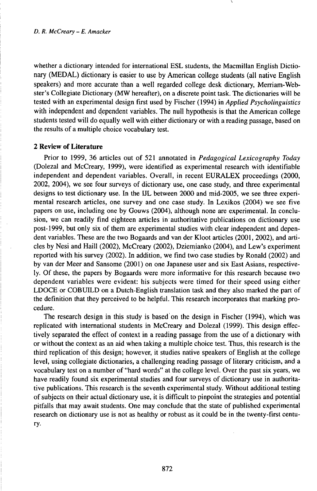whether a dictionary intended for international ESL students, the Macmillan English Dictionary (MEDAL) dictionary is easier to use by American college students (all native English speakers) and more accurate than a well regarded college desk dictionary, Merriam-Webster's Collegiate Dictionary (MW hereafter), on a discrete point task. The dictionaries will be tested with an experimental design first used by Fischer (1994) in *Applied Psycholinguistics* with independent and dependent variables. The null hypothesis is that the American college students tested will do equally well with either dictionary or with a reading passage, based on the results of a multiple choice vocabulary test.

# **2 Review of Literature**

Prior to 1999, 36 articles out of 521 annotated in *Pedagogical Lexicography Today* (Dolezal and McCreary, 1999), were identified as experimental research with identifiable independent and dependent variables. Overall, in recent EURALEX proceedings (2000, 2002, 2004), we see four surveys of dictionary use, one case study, and three experimental designs to test dictionary use. In the IJL between 2000 and mid-2005, we see three experimental research articles, one survey and one case study. In Lexikos (2004) we see five papers on use, including one by Gouws (2004), although none are experimental. In conclusion, we can readily find eighteen articles in authoritative publications on dictionary use post-1999, but only six of them are experimental studies with clear independent and dependent variables. These are the two Bogaards and van der Kloot articles (2001, 2002), and articles by Nesi and Haill (2002), McCreary (2002), Dziemianko (2004), and Lew's experiment reported with his survey (2002). In addition, we find two case studies by Ronald (2002) and by van der Meer and Sansome (2001) on one Japanese user and six East Asians, respectively. Of these, the papers by Bogaards were more informative for this research because two dependent variables were evident: his subjects were timed for their speed using either LDOCE or COBUILD on a Dutch-English translation task and they also marked the part of the definition that they perceived to be helpful. This research incorporates that marking procedure.

The research design in this study is based on the design in Fischer (1994), which was replicated with international students in McCreary and Dolezal (1999). This design effectively separated the effect of context in a reading passage from the use of a dictionary with or without the context as an aid when taking a multiple choice test. Thus, this research is the third replication of this design; however, it studies native speakers of English at the college level, using collegiate dictionaries, a challenging reading passage of literary criticism, and a vocabulary test on a number of "hard words" at the college level. Over the past six years, we have readily found six experimental studies and four surveys of dictionary use in authoritative publications. This research is the seventh experimental study. Without additional testing ofsubjects on their actual dictionary use, it is difficult to pinpoint the strategies and potential pitfalls that may await students. One may conclude that the state of published experimental research on dictionary use is not as healthy or robust as it could be in the twenty-first century-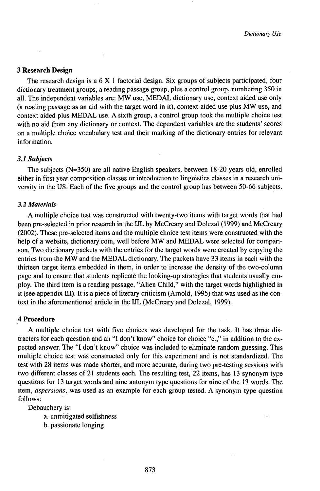## **3 Research Design**

The research design is a 6 X <sup>1</sup> factorial design. Six groups of subjects participated, four dictionary treatment groups, a reading passage group, plus a control group, numbering 350 in all. The independent variables are: MW use, MEDAL dictionary use, context aided use only (a reading passage as an aid with the target word in it), context-aided use plus MW use, and context aided plus MEDAL use. A sixth group, a control group took the multiple choice test with no aid from any dictionary or context. The dependent variables are the students' scores on a multiple choice vocabulary test and their marking of the dictionary entries for relevant information.

#### *3.1 Subjects*

The subjects (N=350) are all native English speakers, between 18-20 years old, enrolled either in first year composition classes or introduction to linguistics classes in a research university in the US. Each of the five groups and the control group has between 50-66 subjects.

## *3.2 Materials*

A multiple choice test was constructed with twenty-two items with target words that had been pre-selected in prior research in the IJL by McCreary and Dolezal (1999) and McCreary (2002). These pre-selected items and the multiple choice test items were constructed with the help of a website, dictionary.com, well before MW and MEDAL were selected for comparison. Two dictionary packets with the entries for the target words were created by copying the entries from the MW and the MEDAL dictionary. The packets have 33 items in each with the thirteen target items embedded in them, in order to increase the density of the two-column page and to ensure that students replicate the looking-up strategies that students usually employ. The third item is a reading passage, "Alien Child," with the target words highlighted in it (see appendix III). It is a piece of literary criticism (Arnold, 1995) that was used as the context in the aforementioned article in the IJL (McCreary and Dolezal, 1999).

# **4 Procedure**

A multiple choice test with five choices was developed for the task. It has three distracters for each question and an "I don't know" choice for choice "e.," in addition to the expected answer. The "I don't know" choice was included to eliminate random guessing. This multiple choice test was constructed only for this experiment and is not standardized. The test with 28 items was made shorter, and more accurate, during two pre-testing sessions with two different classes of 21 students each. The resulting test, 22 items, has 13 synonym type questions for 13 target words and nine antonym type questions for nine of the 13 words. The item, *aspersions,* was used as an example for each group tested. A synonym type question follows:

Debauchery is:

a. unmitigated selfishness

b. passionate longing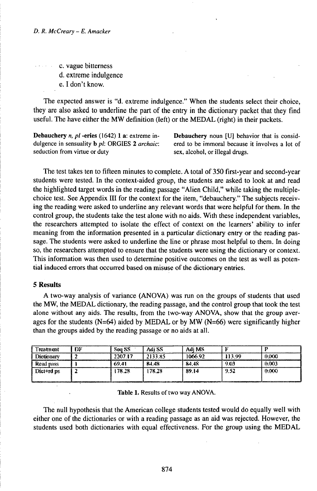c. vague bitterness d. extreme indulgence e. I don't know.

The expected answer is "d. extreme indulgence." When the students select their choice, they are also asked to underline the part of the entry in the dictionary packet that they find useful. The have either the MW definition (left) or the MEDAL (right) in their packets.

Debauchery *n, pl* -eries (1642) 1 a: extreme indulgence in sensuality b *pl:* ORGIES 2 *archaic:* seduction from virtue or duty

Debauchery noun [U] behavior that is considered to be immoral because it involves a lot of sex, alcohol, or illegal drugs.

The test takes ten to fifteen minutes to complete. A total of 350 first-year and second-year students were tested. In the context-aided group, the students are asked to look at and read the highlighted target words in the reading passage "Alien Child," while taking the multiplechoice test. See Appendix III for the context for the item, "debauchery." The subjects receiving the reading were asked to underline any relevant words that were helpful for them. In the control group, the students take the test alone with no aids. With these independent variables, the researchers attempted to isolate the effect of context on the learners' ability to infer meaning from the information presented in a particular dictionary entry or the reading passage. The students were asked to underline the line or phrase most helpful to them. In doing so, the researchers attempted to ensure that the students were using the dictionary or context. This information was then used to determine positive outcomes on the test as well as potential induced errors that occurred based on misuse of the dictionary entries.

# 5 Results

A two-way analysis of variance (ANOVA) was run on the groups of students that used the MW, the MEDAL dictionary, the reading passage, and the control group that took the test alone without any aids. The results, from the two-way ANOVA, show that the group averages for the students  $(N=64)$  aided by MEDAL or by MW  $(N=66)$  were significantly higher than the groups aided by the reading passage or no aids at all.

| Treatment                                                                                                                                                                                                                     | ĐF | <b>Sext 8.8</b> | Adi SS  | Adi MS  |        |       |
|-------------------------------------------------------------------------------------------------------------------------------------------------------------------------------------------------------------------------------|----|-----------------|---------|---------|--------|-------|
| <b>Dictionary</b>                                                                                                                                                                                                             |    | 2207.17         | 2133.85 | T066.92 | 113.99 | 0.OOO |
| Read nass                                                                                                                                                                                                                     |    | 69.41           | 84.48   | 84.48   | -9.03  | 0.003 |
| Dict+rd ps                                                                                                                                                                                                                    |    | L78.28.         | 78.38   | 89.14   | 9.52   | 0.000 |
| Приняторанными после политического советственного автоматического поддержавания принятора и просто советственного советства приняторанного советства приняторанного советства приняторанного советства приняторанного советст |    |                 |         |         |        |       |

Table 1. Results of two way ANOVA.

The null hypothesis that the American college students tested would do equally well with either one of the dictionaries or with a reading passage as an aid was rejected. However, the students used both dictionaries with equal effectiveness. For the group using the MEDAL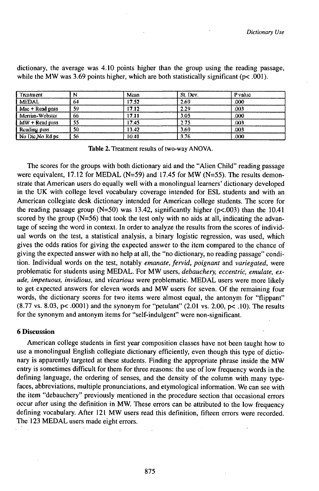| Treatment           | N  | Mean  | St. Dev. | P value |  |
|---------------------|----|-------|----------|---------|--|
| <b>MEDAL</b>        | 64 | 17.52 | 2.69     | 000     |  |
| Mac + Read pass     | Sü | 17.12 | 2.29     | .003    |  |
| Merrim-Webster      | 66 | 17.11 | 3.05     | .000    |  |
| $MW + Read pass$    | 55 | 17.45 | 2.75     | (x)     |  |
| <b>Reading pass</b> | 50 | 13.42 | 3.69     | ,003    |  |
| No Die No Rd ps     | 56 | 10.41 | 3.76     | .OKM)   |  |

dictionary, the average was 4.10 points higher than the group using the reading passage, while the MW was 3.69 points higher, which are both statistically significant ( $p$ <.001).

**Table** 2. Treatment results of two-way ANOVA.

The scores for the groups with both dictionary aid and the "Alien Child" reading passage were equivalent, 17.12 for MEDAL (N=59) and 17.45 for MW (N=55). The results demonstrate that American users do equally well with a monolingual learners' dictionary developed in the UK with college level vocabulary coverage intended for ESL students and with an American collegiate desk dictionary intended for American college students. The score for the reading passage group (N=50) was 13.42, significantly higher ( $p$ <.003) than the 10.41 scored by the group  $(N=56)$  that took the test only with no aids at all, indicating the advantage of seeing the word in context. In order to analyze the results from the scores of individual words on the test, a statistical analysis, a binary logistic regression, was used, which gives the odds ratios for giving the expected answer to the item compared to the chance of giving the expected answer with no help at all, the "no dictionary, no reading passage" condition. Individual words on the test, notably *emanate, fervid, poignant* and *variegated,* were problematic for students using MEDAL. For MW users, *debauchery, eccentric, emulate, exude, impetuous, invidious,* and *vicarious* were problematic. MEDAL users were more likely to get expected answers for eleven words and MW users for seven. Of the remaining four words, the dictionary scores for two items were almost equal, the antonym for "flippant"  $(8.77 \text{ vs. } 8.03, \text{ p} < .0001)$  and the synonym for "petulant"  $(2.01 \text{ vs. } 2.00, \text{ p} < .10)$ . The results for the synonym and antonym items for "self-indulgent" were non-significant.

## **6 Discussion**

American college students in first year composition classes have not been taught how to use a monolingual English collegiate dictionary efficiently, even though this type of dictionary is apparently targeted at these students. Finding the appropriate phrase inside the MW entry is sometimes difficult for them for three reasons: the use of low frequency words in the defining language, the ordering of senses, and the density of the column with many typefaces, abbreviations, multiple pronunciations, and etymological information. We can see with the item "debauchery" previously mentioned in the procedure section that occasional errors occur after using the definition in MW. These errors can be attributed to the low frequency defining vocabulary. After 121 MW users read this definition, fifteen errors were recorded. The 123 MEDAL users made eight errors.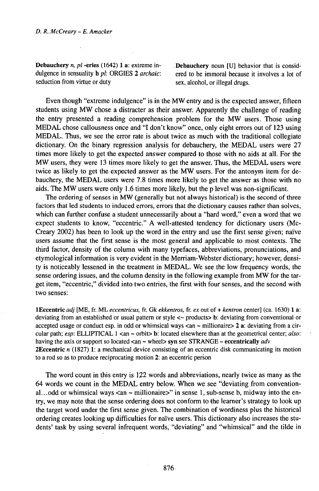**Debauchery** *n, pl* **-eries** (1642) 1 a: extreme in- **Debauchery** noun [U] behavior that is considdulgence in sensuality **b** *pl*: ORGIES 2 *archaic*: ered to be immoral because it involves a lot of seduction from virtue or duty sex, alcohol, or illegal drugs.

Even though "extreme indulgence" is in the MW entry and is the expected answer, fifteen students using MW chose a distracter as their answer. Apparently the challenge of reading the entry presented a reading comprehension problem for the MW users. Those using MEDAL chose callousness once and "I don't know" once, only eight errors out of 123 using MEDAL. Thus, we see the error rate is about twice as much with the traditional collegiate dictionary. On the binary regression analysis for debauchery, the MEDAL users were 27 times more likely to get the expected answer compared to those with no aids at all. For the MW users, they were 13 times more likely to get the answer. Thus, the MEDAL users were twice as likely to get the expected answer as the MW users. For the antonym item for debauchery, the MEDAL users were 7.8 times more likely to get the answer as those with no aids. The MW users were only 1.6 times more likely, but the p level was non-significant.

The ordering of senses in MW (generally but not always historical) is the second of three factors that led students to induced errors, errors that the dictionary causes rather than solves, which can further confuse a student unnecessarily about a "hard word," even a word that we expect students to know, "eccentric." A well-attested tendency for dictionary users (Mc-Creary 2002) has been to look up the word in the entry and use the first sense given; naïve users assume that the first sense is the most general and applicable to most contexts. The third factor, density of the column with many typefaces, abbreviations, pronunciations, and etymological information is very evident in the Merriam-Webster dictionary; however, density is noticeably lessened in the treatment in MEDAL. We see the low frequency words, the sense ordering issues, and the column density in the following example from MW for the target item, "eccentric," divided into two entries, the first with four senses, and the second with two senses:

lEccentric *adj* [ME, fr. ML *eccentricus,* fr. Gk *ekkentros,* fr. *ex* out of + *kentron* center] (ca. 1630) <sup>1</sup> a: deviating from an established or usual pattern or style <~ products> b: deviating from conventional or accepted usage or conduct esp. in odd or whimsical ways  $\langle$  an  $\sim$  millionaire $\langle$  2 a: deviating from a circular path; *esp:* ELLIPTICAL <sup>1</sup> <an ~ orbit> b: located elsewhere than at the geometrical center; *also:* having the axis or support so located <an ~ wheel> syn see STRANGE - eccentrically *adv* **2Eccentric n** (1827) 1: a mechanical device consisting of an eccentric disk communicating its motion to a rod so as to produce reciprocating motion 2: an eccentric perśon

The word count in this entry is 122 words and abbreviations, nearly twice as many as the 64 words we count in the MEDAL entry below. When we see "deviating from conventional...odd or whimsical ways  $\langle$ an  $\sim$  millionaire $\rangle$ " in sense 1, sub-sense b, midway into the entry, we may note that the sense ordering does not conform to the learner's strategy to look up the target word under the first sense given. The combination of wordiness plus the historical ordering creates looking up difficulties for naïve users. This dictionary also increases the students' task by using several infrequent words, "deviating" and "whimsical" and the tilde in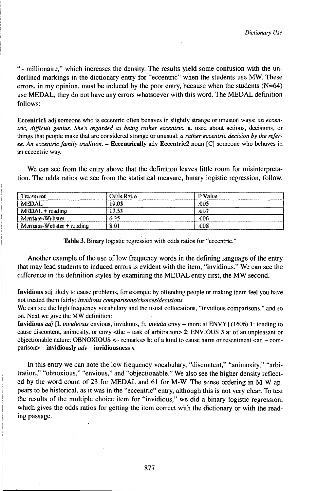"~ millionaire," which increases the density. The results yield some confusion with the underlined markings in the dictionary entry for "eccentric" when the students use MW. These errors, in my opinion, must be induced by the poor entry, because when the students  $(N=64)$ use MEDAL, they do not have any errors whatsoever with this word. The MEDAL definition follows:

Eccentrici adj someone who is eccentric often behaves in slightly strange or unusual ways: *an eccentric, difficult genius. She's regarded as being rather eccentric,* a. used about actions, decisions, or things that people make that are considered strange or unusual: *a rather eccentric decision by the referee. An eccentric family tradition.* - Eccentrically adv Eccentric2 noun [C] someone who behaves in an eccentric way.

We can see from the entry above that the definition leaves little room for misinterpretation. The odds ratios we see from the statistical measure, binary logistic regression, follow.

| Treatment                 | Odds Ratio | P Value |
|---------------------------|------------|---------|
| <b>MEDAL</b>              | 19.05      | JOS.    |
| $MEDAL + reading$         | 17.53      | -007    |
| Merriam-Webster           | 635        | :006    |
| Merriam-Webster + reading | 8.01       | Ű08     |

Table 3. Binary logistic regression with odds ratios for "eccentric."

Another example of the use of low frequency words in the defining language of the entry that may lead students to induced errors is evident with the item, "invidious." We can see the difference in the definition styles by examining the MEDAL entry first, the MW second.

Invidious adj likely to cause problems, for example by offending people or making them feel you have not treated them fairly: *invidious comparisons/choices/decisions.*

We can see the high frequency vocabulary and the usual collocations, "invidious comparisons," and so on. Next we give the MW definition:

Invidious *adj* [L *invidiosus* envious, invidious, fr. *invidia* envy - more at ENVY] (1606) 1: tending to cause discontent, animosity, or envy  $\lt$ the ~ task of arbitration > 2: ENVIOUS 3 a: of an unpleasant or objectionable nature: OBNOXIOUS  $\leq$  remarks> b: of a kind to cause harm or resentment  $\leq$  an  $\sim$  comparison> - invidiously *adv* - invidiousness *<sup>n</sup>*

In this entry we can note the low frequency vocabulary, "discontent," "animosity," "arbitration," "obnoxious," "envious," and "objectionable." We also see the higher density reflected by the word count of 23 for MEDAL and 61 for M-W. The sense ordering in M-W appears to be historical, as it was in the "eccentric" entry, although this is not very clear. To test the results of the multiple choice item for "invidious," we did a binary logistic regression, which gives the odds ratios for getting the item correct with the dictionary or with the reading passage.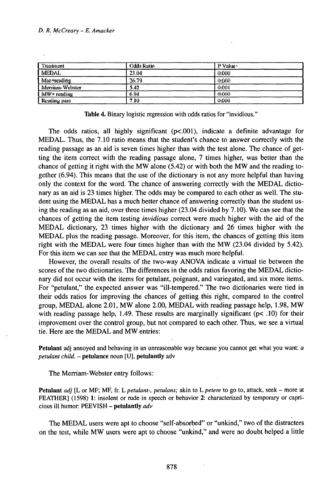## *D. R. McÇreary - E. Amacker*

| Treatment              | <b>Odds Ratio</b> | P Vshe |  |
|------------------------|-------------------|--------|--|
| MEDAL                  | 23.04             | OOOO   |  |
| Mac+reading            | 26.79             | 0.000  |  |
| <b>Merriam-Webster</b> | 5.42              | 0.001  |  |
| MW+ reading            | 6.94              | 0.000  |  |
| Reading pass           | 7.10-             | OOOO   |  |

**Table 4.** Binary logistic regression with odds ratios for "invidious."

The odds ratios, all highly significant ( $p$ <.001), indicate a definite advantage for MEDAL. Thus, the 7.10 ratio means that the student's chance to answer correctly with the reading passage as an aid is seven times higher than with the test alone. The chance of getting the item correct with the reading passage alone, 7 times higher, was better than the chance of getting it right with the MW alone  $(5.42)$  or with both the MW and the reading together (6.94). This means that the use of the dictionary is not any more helpful than having only the context for the word. The chance of answering correctly with the MEDAL dictionary as an aid is 23 times higher. The odds may be compared to each other as well. The student using the MEDAL has a much better chance of answering correctly than the student using the reading as an aid, over three times higher (23.04 divided by 7.10). We can-see that the chances of getting the item testing *invidious* correct were much higher with the aid of the MEDAL dictionary, 23 times higher with the dictionary and 26 times higher with the MEDAL plus the reading passage. Moreover, for this item, the chances of getting this item right with the MEDAL were four times higher than with the MW (23.04 divided by 5.42). For this item we can see that the MEDAL entry was much more helpful.

However, the overall results of the two-way ANOVA indicate a virtual tie between the scores of the two dictionaries. The differences in the odds ratios favoring the MEDAL dictionary did not occur with the items for petulant, poignant, and variegated, and six more items. For "petulant," the expected answer was "ill-tempered." The two dictionaries were tied in their odds ratios for improving the chances of getting this right, compared to the control group, MEDAL alone 2.01, MW alone 2.00, MEDAL with reading passage help, 1.98, MW with reading passage help, 1.49. These results are marginally significant ( $pc$  .10) for their improvement over the control group, but not compared to each other. Thus, we see a virtual tie. Here are the MEDAL and MW entries:

**Petulant** adj annoyed and behaving in an unreasonable way because you cannot get what you want: *a petulant child.* - **petulance** noun [U], **petulantly** adv

The Merriam-Webster entry follows:

**Petulant** *adj* [L or MF; MF, fr. *Lpetulant-, petulans;* akin *toLpetere* to go to, attack, seek - more at FEATHER] (1598) 1: insolent or rude in speech or behavior 2: characterized by temporary or capricious ill humor: PEEVISH - **petulantly** *adv*

The MEDAL users were apt to choose "self-absorbed" or "unkind," two of the distracters on the test, while MW users were apt to choose "unkind," and were no doubt helped a little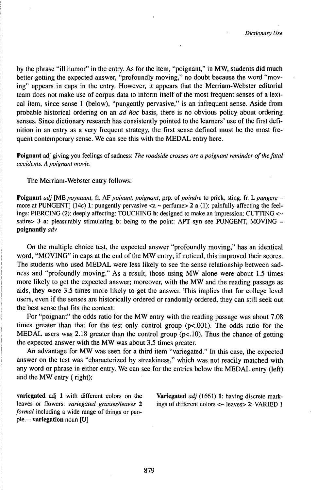by the phrase "ill humor" in the entry. As for the item, "poignant," in MW, students did much better getting the expected answer, "profoundly moving," no doubt because the word "moving" appears in caps in the entry. However, it appears that the Merriam-Webster editorial team does not make use of corpus data to inform itself of the most frequent senses of a lexical item, since sense <sup>1</sup> (below), "pungently pervasive," is an infrequent sense. Aside from probable historical ordering on an *ad hoc* basis, there is no obvious policy about ordering senses. Since dictionary research has consistently pointed to the learners' use of the first definition in an entry as a very frequent strategy, the first sense defined must be the most frequent contemporary sense. We can see this with the MEDAL entry here.

**Poignant** adj giving you feelings of sadness: *The roadside crosses are a poignant reminder ofthefatal accidents. A poignant movie.*

The Merriam-Webster entry follows:

**Poignant** *adj* [ME poynaunt, fr. AF poinant, poignant, prp. of poindre to prick, sting, fr. *L* pungere – more at PUNGENT] (14c) 1: pungently pervasive <a ~ perfume> 2 a (1): painfully affecting the feelings: PIERCING (2): deeply affecting: TOUCHING b: designed to make an impression: CUTTING <~ satire> 3 a: pleasurably stimulating b: being to the point: APT syn see PUNGENT, MOVING **poignantly** *adv*

On the multiple choice test, the expected answer "profoundly moving," has an identical word, "MOVING" in caps at the end of the MW entry; if noticed, this improved their scores. The students who used MEDAL were less likely to see the sense relationship between sadness and "profoundly moving." As a result, those using MW alone were about 1.5 times more likely to get the expected answer; moreover, with the MW and the reading passage as aids, they were 3.5 times more likely to get the answer. This implies that for college level users, even if the senses are historically ordered or randomly ordered, they can still seek out the best sense that fits the context.

For "poignant" the odds ratio for the MW entry with the reading passage was about 7.08 times greater than that for the test only control group (p<.001). The odds ratio for the MEDAL users was 2.18 greater than the control group  $(p<.10)$ . Thus the chance of getting the expected answer with the MW was about 3.5 times greater.

An advantage for MW was seen for a third item "variegated." In this case, the expected answer on the test was "characterized by streakiness," which was not readily matched with any word or phrase in either entry. We can see for the entries below the MEDAL entry (left) and the MW entry ( right):

leaves or flowers: *variegated grasses/leaves* 2 ings of different colors <~ leaves> 2: VARIED <sup>1</sup> *formal* including a wide range of things or people. - **variegation** noun [U]

variegated adj <sup>1</sup> with different colors on the **Variegated** *adj* (1661) 1: having discrete mark-

879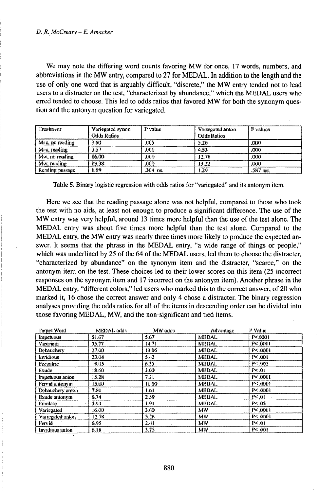We may note the differing word counts favoring MW for once, 17 words, numbers, and abbreviations in the MW entry, compared to 27 for MEDAL. In addition to the length and the use of only one word that is arguably difficult, "discrete," the MW entry tended not to lead users to a distracter on the test, "characterized by abundance," which the MEDAL users who erred tended to choose. This led to odds ratios that favored MW for both the synonym question and the antonym question for variegated.

| . Treatment                    | Variegated synon<br><b>Odds Ratios</b> | P value.   | Variegated anton<br><b>Odds Ratios</b> | P values |
|--------------------------------|----------------------------------------|------------|----------------------------------------|----------|
| $\blacksquare$ Muc, no reading | 3.60                                   | .005       | -5.26                                  | CKO.     |
| Muc, reading                   | 3.57                                   | .006       | 4.53                                   | 000      |
| Mw, no reading                 | 16.00                                  | 300 S      | 12.78                                  | 000      |
| Mw, reading                    | 19.38                                  | .000       | 13.22                                  | .COO     |
| Reading passage                | 1.69                                   | $.304$ ns. | 1.29                                   | .587 ns. |

Table 5. Binary logistic regression with odds ratios for "variegated" and its antonym item.

Here we see that the reading passage alone was not helpful, compared to those who took the test with no aids, at least not enough to produce a significant difference. The use of the MW entry was very helpful, around 13 times more helpful than the use of the test alone. The MEDAL entry was about five times more helpful than the test alone. Compared to the MEDAL entry, the MW entry was nearly three times more likely to produce the expected answer. It seems that the phrase in the MEDAL entry, "a wide range of things or people," which was underlined by 25 of the 64 of the MEDAL users, led them to choose the distracter, "characterized by abundance" on the synonym item and the distracter, "scarce," on the antonym item on the test. These choices led to their lower scores on this item (25 incorrect responses on the synonym item and 17 incorrect on the antonym item). Another phrase in the MEDAL entry, "different colors," led users who marked this to the correct answer, of 20 who marked it, 16 chose the correct answer and only 4 chose a distracter. The binary regression analyses providing the odds ratios for all of the items in descending order can be divided into those favoring MEDAL, MW, and the non-significant and tied items.

| Target Word              | MEDAL odds | MW odds | Advantage    | P Value     |
|--------------------------|------------|---------|--------------|-------------|
| Impetuous                | 51.67      | 5.67    | <b>MEDAL</b> | P < 0001    |
| Vicarious                | 35.77      | 14.71   | <b>MEDAL</b> | P< 0001     |
| Debaucherv               | 27.00      | 13.05   | MEDAL        | P < 0001    |
| Invidious                | 23.04      | 5.42    | <b>MEDAL</b> | P < 001     |
| Eccentric                | 19.05      | 6.35    | MEDAL        | P<.005      |
| Exude                    | 18.60      | 3.00    | <b>MEDAL</b> | $P \le 01$  |
| Impetuous anton          | 15.28      | 7.21    | <b>MEDAL</b> | P < 0001    |
| Fervid antonym           | 15.00      | 10.00   | <b>MEDAL</b> | P< 0001     |
| Debauchery anton         | 7.80       | 1.61    | <b>MEDAL</b> | P < 0001    |
| Exude antonym            | 6.74       | 2.59    | <b>MEDAL</b> | $P \leq 01$ |
| Emulate                  | 5.94       | 1.91    | <b>MEDAL</b> | $P \le 05$  |
| Vanegated                | 16.00      | 3.60    | MW           | P< 0001     |
| Variegated anton         | 12.78      | 5.26    | MW           | P < 0001    |
| I Fervid                 | 6.95       | 2.41    | <b>MW</b>    | $P \leq 01$ |
| <b>I</b> Invidious anton | 6.18       | 3.75    | MW           | P < 301     |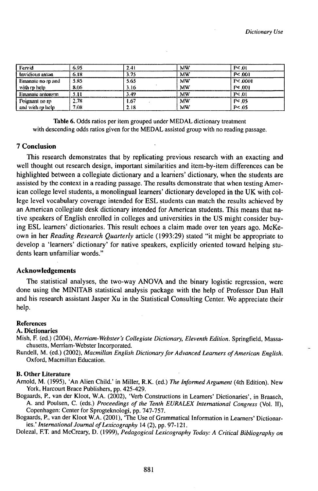| Fervid            | 6.95 | 241  | MW | P < 01       |
|-------------------|------|------|----|--------------|
| Invidious anton   | 6.18 | 3.75 | MW | P < 001      |
| Emanate no rp and | 5.85 | 5.65 | MW | P < 0001     |
| with my help      | 8.06 | 3.16 | MW | $P \leq 001$ |
| Emanate antonym   |      | 3.49 | MW | P< 01        |
| Poignant no rp    | 2.78 | 1.67 | MW | P< 05        |
| and with m help   | 7.08 | 2.18 | MW | $P \leq 05$  |

**Table 6.** Odds ratios per item grouped under MEDAL dictionary treatment with descending odds ratios given for the MEDAL assisted group with no reading passage.

## **7 Conclusion**

This research demonstrates that by replicating previous research with an exacting and well thought out research design, important similarities and item-by-item differences can be highlighted between a collegiate dictionary and a learners' dictionary, when the students are assisted by the context in a reading passage. The results demonstrate that when testing American college level students, a monolingual learners' dictionary developed in the UK with college level vocabulary coverage intended for ESL students can match the results achieved by an American collegiate desk dictionary intended for American students. This means that native speakers of English enrolled in colleges and universities in the US might consider buying ESL learners' dictionaries. This result echoes a claim made over ten years ago. McKeown in her *Reading Research Quarterly* article (1993:29) stated "it might be appropriate to develop a 'learners' dictionary' for native speakers, explicitly oriented toward helping students learn unfamiliar words."

## **Acknowledgements**

The statistical analyses, the two-way ANOVA and the binary logistic regression, were done using the MINITAB statistical analysis package with the help of Professor Dan Hall and his research assistant Jasper Xu in the Statistical Consulting Center. We appreciate their help.

#### **References**

#### **A. Dictionaries**

- Mish, F. (ed.) (2004), *Merriam-Webster's Collegiate Dictionary, Eleventh Edition.* Springfield, Massachusetts, Merriam-Webster Incorporated.
- Rundell, M. (ed.) (2002), *Macmillan English Dictionary for Advanced Learners of American English.* Oxford, Macmillan Education.

#### **B. Other Literature**

Arnold, M. (1995), 'An Alien Child.' in Miller, R.K. (ed.) The Informed Argument (4th Edition). New York, Harcourt Brace Publishers, pp. 425-429.

- Bogaards, P., van der Kloot, W.A. (2002), 'Verb Constructions in Learners' Dictionaries', in Braasch, A. and Poulsen, C. (eds.) *Proceedings of the Tenth EURALEX International Congress* (Vol. II), Copenhagen: Center for Sprogteknologi, pp. 747-757.
- Bogaards, P., van der Kloot W.A. (2001), 'The Use of Grammatical Information in Learners' Dictionaries.' *International Journal ofLexicography* 14 (2), pp. 97-121.

Dolezal, F.T. and McCreary, D. (1999), *Pedagogical Lexicography Today: A Critical Bibliography on*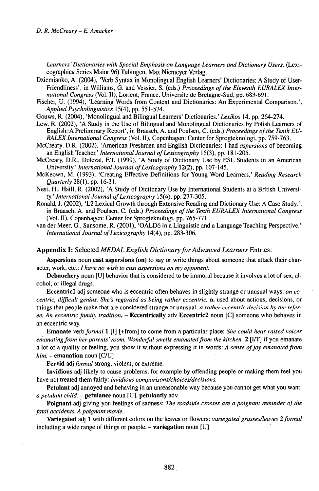*Learners'Dictionaries with Special Emphasis on Language Learners and Dictionary Users.* (Lexicographica Series Maior 96) Tubingen, Max Niemeyer Verlag.

Dziemianko, A. (2004), 'Verb Syntax in Monolingual English Learners' Dictionaries: A Study of User-Friendliness', in Williams, G. and Vessier, S. (eds.) *Proceedings of the Eleventh EURALEX International Congress* (Vol. II), Lorient, France, Universite de Bretagne-Sud, pp. 683-691.

Fischer, U. (1994), 'Learning Words from Context and Dictionaries: An Experimental Comparison.', *AppliedPsycholinguistics* 15(4), pp. 551-574.

Gouws, R. (2004), 'Monolingual and Bilingual Learners' Dictionaries.' *Lexikos* 14, pp. 264-274.

- Lew, R. (2002), 'A Study in the Use of Bilingual and Monolingual Dictionaries by Polish Leamers of English:A Preliminary Report', in Braasch, A. and Poulsen, C. (eds.) *Proceedings ofthe Tenth EU-RALEXInternational Congress* (Vol. II), Copenhagen: Center for Sprogteknologi, pp. 759-763.
- McCreary, D.R. (2002), 'American Freshmen and English Dictionaries: I had *aspersions* of becoming an English Teacher.' *InternationalJournal ofLexicography* 15(3), pp. 181-205.
- McCreary, D.R., Dolezal, FT. (1999), 'A Study of Dictionary Use by ESL Students in an American University.' *International Journal ofLexicography* 12(2), pp. 107-145.
- McKeown, M. (1993), 'Creating Effective Definitions for Young Word Learners.' *Reading Research Quarterly* 28(1), pp. 16-31.
- Nesi, H., Haill, R. (2002), 'A Study of Dictionary Use by International Students at a British University.' *InternationalJournal ofLexicography* 15(4), pp. 277-305.
- Ronald, J. (2002), 'L2 Lexical Growth through Extensive Reading and Dictionary Use: A Case Study.', in Braasch, A. and Poulsen, C. (eds.) *Proceedings of the Tenth EURALEX International Congress* (Vol. II), Copenhagen: Center for Sprogteknologi, pp. 765-771.
- van der Meer, G., Sansome, R. (2001), 'OALD6 in a Linguistic and a Language Teaching Perspective.' *InternationalJournalofLexicography* 14(4), pp. 283-306.

#### **Appendix I:** Selected *MEDAL English DictionaryforAdvanced Learners* Entries:

**Aspersions** noun **cast aspersions (on)** to say or write things about someone that attack their character, work, etc.: / *have no wish to cast aspersions on my opponent.*

**Debauchery** noun [U] behavior that is considered to be immoral because it involves a lot of sex, alcohol, or illegal drugs.

**Eccentrici** adj someone who is eccentric often behaves in slightly strange or unusual ways: *an eccentric, difficult genius. She's regarded as being rather eccentric,* a. used about actions, decisions, or things that people make that are considered strange or unusual: *a rather eccentric decision by the referee. An eccentricfamily tradition.* - **Eccentrically** adv **Eccentric2** noun [C] someone who behaves in an eccentric way.

**Emanate** *verbformal* <sup>1</sup> [I] [+from] to come from a particular place: *She could hear raised voices emanating from her parents' room. Wonderful smells emanated from the kitchen.* 2 [I/T] if you emanate a lot of a quality or feeling, you show it without expressing it in words: *A sense ofjoy emanatedfrom him.* – **emanation** noun [C/U]

**Fervid** adj *formal* strong, violent, or extreme.

**Invidious** adj likely to cause problems, for example by offending people or making them feel you have not treated them fairly: *invidious comparisons/choices/decisions.*

**Petulant** adj annoyed and behaving in an unreasonable way because you cannot get what you want: *<sup>a</sup> petulant child. -* **petulance** noun [U], **petulantly** adv

Poignant adj giving you feelings of sadness: The roadside crosses are a poignant reminder of the *fatal accidents. A poignant movie.*

**Variegated** adj **<sup>1</sup>** with different colors on the leaves or flowers: *variegated grasses/leaves 2formal* including a wide range of things or people. - **variegation** noun [U]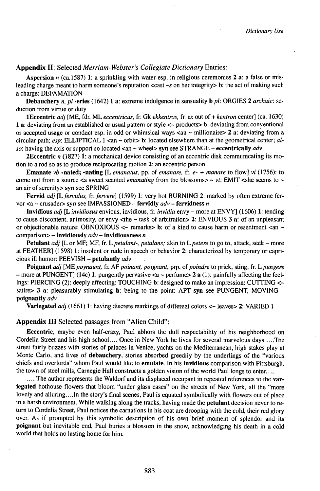**Appendix II:** Selected *Merriam-Webster's Collegiate Dictionary* Entries:

**Aspersion** *n* (ca.l587) 1: a sprinkling with water esp. in religious ceremonies 2 a: a false or misleading charge meant to harm someone's reputation <cast *~s* on her integrity> b: the act of making such a charge: DEFAMATION

**Debauchery** *n, pl* **-eries** (1642) <sup>1</sup> a: extreme indulgence in sensuality **b** *pl:* ORGIES 2 *archaic:* seduction from virtue or duty

**lEccentric** *adj* [ME, fdr. ML *eccentricus,* fr. Gk *ekkentros,* fr. *ex* out of + *kentron* center] (ca. 1630) 1 a: deviating from an established or usual pattern or style <~ products> b: deviating from conventional or accepted usage or conduct esp. in odd or whimsical ways <an ~ millionaire> 2 a: deviating from a circular path; *esp:* ELLIPTICAL <sup>1</sup> <an ~ orbit> b: located elsewhere than at the geometrical center; *also:* having the axis or support so located <an <sup>~</sup> wheel> **syn** see STRANGE - **eccentrically** *adv*

**2Eccentric** *n* (1827) 1: a mechanical device consisting of an eccentric disk communicating its motion to a rod so as to produce reciprocating motion 2: an eccentric person

**Emanate**  $vb$  **-nated; -nating** [L *emanatus,* pp. of *emanare,* fr. *e-* + *manare* to flow] *vi* (1756): to come out from a source  $\leq$  a sweet scented *emanating* from the blossoms >  $\sim$  vt: EMIT  $\leq$  she seems to  $\sim$ an air of serenity> syn see SPRING

**Fervid** *adj [Lfervidus, fr.fervere]* (1599) 1: very hot BURNING 2: marked by often extreme fervor <a <sup>~</sup> crusader> syn see IMPASSIONED - **fervidly** *adv -* **fervidness** *<sup>n</sup>*

**Invidious** *adj* **[L** *invidiosus* envious, invidious, fr. *invidia* envy - more at ENVY] (1606) 1: tending to cause discontent, animosity, or envy <the  $\sim$  task of arbitration> 2: ENVIOUS 3 a: of an unpleasant or objectionable nature: OBNOXIOUS  $\lt\sim$  remarks> b: of a kind to cause harm or resentment  $\lt\text{an}$   $\sim$ comparison> - **invidiously** *adv* **- invidiousness** *<sup>n</sup>*

**Petulant** *adj* [L or MF; MF, fr. *L petulant-, petulans;* akin to *L petere* to go to, attack, seek – more at FEATHER] (1598) 1: insolent or rude in speech or behavior 2: characterized by temporary or capricious ill humor: PEEVISH - **petulantly** *adv*

**Poignant** *adj* [ME *poynaunt,* fr. AF *poinant, poignant,* prp. *oipoindre* to prick, sting, fr. *Lpungere*  $-$  more at PUNGENT] (14c) 1: pungently pervasive  $\lt a \lt p$  perfume  $\gt 2$  **a** (1): painfully affecting the feelings: PIERCING (2): deeply affecting: TOUCHING b: designed to make an impression: CUTTING <~ satire> 3 a: pleasurably stimulating b: being to the point: APT syn see PUNGENT, MOVING **poignantly** *adv*

**Variegated** *adj* (1661) 1: having discrete markings of different colors  $\lt\lt$  leaves 2: VARIED 1

## **Appendix III** Selected passages from "Alien Child":

**Eccentric,** maybe even half-crazy, Paul abhors the dull respectability of his neighborhood on Cordelia Street and his high school.... Once in New York he lives for several marvelous days ....The street fairly buzzes with stories of palaces in Venice, yachts on the Mediterranean, high stakes play at Monte Carlo, and lives of **debauchery,** stories absorbed greedily by the underlings of the "various chiefs and overlords" whom Paul would like to **emulate.** In his **invidious** comparison with Pittsburgh, the town of steel mills, Carnegie Hall constructs a golden vision of the world Paul longs to enter....

.... The author represents the Waldorf and its displaced occupant in repeated references to the var**iegated** hothouse flowers that bloom "under glass cases" on the streets of New York, all the "more lovely and alluring....In the story's final scenes, Paul is equated symbolically with flowers out of place in a harsh environment. While walking along the tracks, having made the **petulant** decision never to return to Cordelia Street, Paul notices the carnations in his coat are drooping with the cold, their red glory over. As if prompted by this symbolic description of his own brief moment of splendor and its **poignant** but inevitable end, Paul buries a blossom in the snow, acknowledging his death in a cold world that holds no lasting home for him.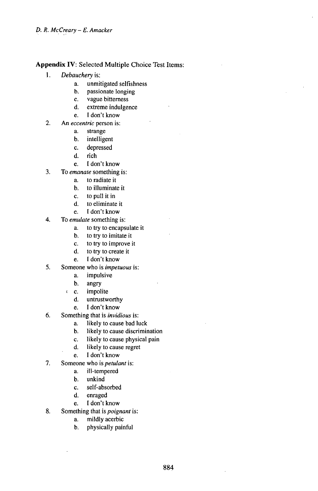# **Appendix IV:** Selected Multiple Choice Test Items:

- 1. *Debauchery* is:
	- a. unmitigated selfishness
	- b. passionate longing
	- c. vague bitterness<br>d. extreme indulger
	- extreme indulgence
	- •. I don't know
- $2.$ An *eccentric* person is:
	- a. strange
	- b. intelligent
	- c. depressed
	- d. rich
	- •. <sup>I</sup> don't know
- 3. To *emanate* something is:
	- a. to radiate it
	- b. to illuminate it
	- c. to pull it in<br>d. to eliminate
	- to eliminate it
	- •. <sup>I</sup> don't know
- **4.** To *emulate* something is:
	- a. to try to encapsulate it
	- b. to try to imitate it
	- c. to try to improve it<br>d. to try to create it
	- to try to create it
	- •. <sup>I</sup> don't know
- 5. Someone who is *impetuous* is:
	- a. impulsive
	- b. angry
	- (c. impolite d. untrustw
		- untrustworthy
		- •. <sup>I</sup> don't know
- 6. Something that is *invidious* is:
	- a. likely to cause bad luck
	- b. likely to cause discrimination
	- c. likely to cause physical pain<br>d. likely to cause regret
	- likely to cause regret
	- •. <sup>I</sup> don't know
- **7.** Someone who is *petulant* is:
	- a. ill-tempered
	- b. unkind
	- c. self-absorbed<br>d. enraged
	- enraged
	- •. <sup>I</sup> don't know
- 8. Something that is *poignant* is:
	- a. mildly acerbic
	- b. physically painful